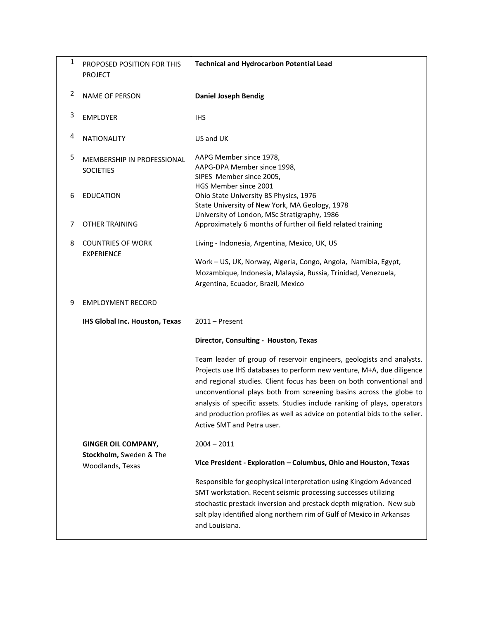| 1 | PROPOSED POSITION FOR THIS<br><b>PROJECT</b>   | <b>Technical and Hydrocarbon Potential Lead</b>                                                                                                                                                                                                                                                                                                                                                                                                                                       |
|---|------------------------------------------------|---------------------------------------------------------------------------------------------------------------------------------------------------------------------------------------------------------------------------------------------------------------------------------------------------------------------------------------------------------------------------------------------------------------------------------------------------------------------------------------|
| 2 | <b>NAME OF PERSON</b>                          | <b>Daniel Joseph Bendig</b>                                                                                                                                                                                                                                                                                                                                                                                                                                                           |
| 3 | <b>EMPLOYER</b>                                | <b>IHS</b>                                                                                                                                                                                                                                                                                                                                                                                                                                                                            |
| 4 | <b>NATIONALITY</b>                             | US and UK                                                                                                                                                                                                                                                                                                                                                                                                                                                                             |
| 5 | MEMBERSHIP IN PROFESSIONAL<br><b>SOCIETIES</b> | AAPG Member since 1978,<br>AAPG-DPA Member since 1998,<br>SIPES Member since 2005,<br>HGS Member since 2001                                                                                                                                                                                                                                                                                                                                                                           |
| 6 | <b>EDUCATION</b>                               | Ohio State University BS Physics, 1976<br>State University of New York, MA Geology, 1978<br>University of London, MSc Stratigraphy, 1986                                                                                                                                                                                                                                                                                                                                              |
| 7 | <b>OTHER TRAINING</b>                          | Approximately 6 months of further oil field related training                                                                                                                                                                                                                                                                                                                                                                                                                          |
| 8 | <b>COUNTRIES OF WORK</b><br><b>EXPERIENCE</b>  | Living - Indonesia, Argentina, Mexico, UK, US                                                                                                                                                                                                                                                                                                                                                                                                                                         |
|   |                                                | Work - US, UK, Norway, Algeria, Congo, Angola, Namibia, Egypt,<br>Mozambique, Indonesia, Malaysia, Russia, Trinidad, Venezuela,<br>Argentina, Ecuador, Brazil, Mexico                                                                                                                                                                                                                                                                                                                 |
| 9 | <b>EMPLOYMENT RECORD</b>                       |                                                                                                                                                                                                                                                                                                                                                                                                                                                                                       |
|   | IHS Global Inc. Houston, Texas                 | $2011 -$ Present                                                                                                                                                                                                                                                                                                                                                                                                                                                                      |
|   |                                                | Director, Consulting - Houston, Texas                                                                                                                                                                                                                                                                                                                                                                                                                                                 |
|   |                                                | Team leader of group of reservoir engineers, geologists and analysts.<br>Projects use IHS databases to perform new venture, M+A, due diligence<br>and regional studies. Client focus has been on both conventional and<br>unconventional plays both from screening basins across the globe to<br>analysis of specific assets. Studies include ranking of plays, operators<br>and production profiles as well as advice on potential bids to the seller.<br>Active SMT and Petra user. |
|   | <b>GINGER OIL COMPANY,</b>                     | $2004 - 2011$                                                                                                                                                                                                                                                                                                                                                                                                                                                                         |
|   | Stockholm, Sweden & The<br>Woodlands, Texas    | Vice President - Exploration - Columbus, Ohio and Houston, Texas                                                                                                                                                                                                                                                                                                                                                                                                                      |
|   |                                                | Responsible for geophysical interpretation using Kingdom Advanced<br>SMT workstation. Recent seismic processing successes utilizing<br>stochastic prestack inversion and prestack depth migration. New sub<br>salt play identified along northern rim of Gulf of Mexico in Arkansas<br>and Louisiana.                                                                                                                                                                                 |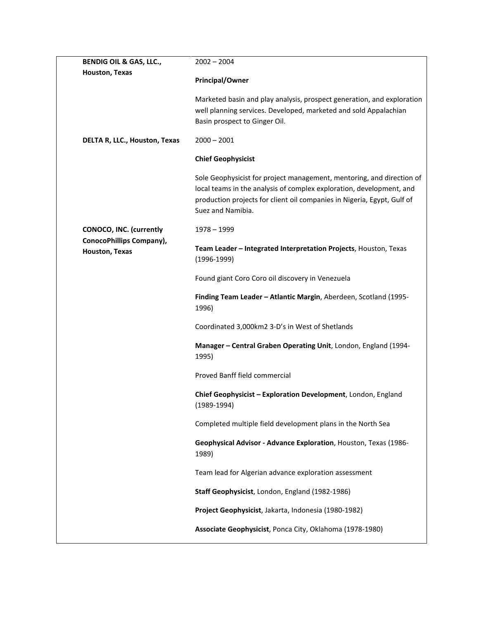| <b>BENDIG OIL &amp; GAS, LLC.,</b>         | $2002 - 2004$                                                                                                                                                                                                                                 |
|--------------------------------------------|-----------------------------------------------------------------------------------------------------------------------------------------------------------------------------------------------------------------------------------------------|
| Houston, Texas                             |                                                                                                                                                                                                                                               |
|                                            | <b>Principal/Owner</b>                                                                                                                                                                                                                        |
|                                            | Marketed basin and play analysis, prospect generation, and exploration<br>well planning services. Developed, marketed and sold Appalachian                                                                                                    |
|                                            | Basin prospect to Ginger Oil.                                                                                                                                                                                                                 |
| DELTA R, LLC., Houston, Texas              | $2000 - 2001$                                                                                                                                                                                                                                 |
|                                            | <b>Chief Geophysicist</b>                                                                                                                                                                                                                     |
|                                            | Sole Geophysicist for project management, mentoring, and direction of<br>local teams in the analysis of complex exploration, development, and<br>production projects for client oil companies in Nigeria, Egypt, Gulf of<br>Suez and Namibia. |
| <b>CONOCO, INC. (currently</b>             | $1978 - 1999$                                                                                                                                                                                                                                 |
| ConocoPhillips Company),<br>Houston, Texas | Team Leader - Integrated Interpretation Projects, Houston, Texas<br>$(1996-1999)$                                                                                                                                                             |
|                                            | Found giant Coro Coro oil discovery in Venezuela                                                                                                                                                                                              |
|                                            | Finding Team Leader - Atlantic Margin, Aberdeen, Scotland (1995-<br>1996)                                                                                                                                                                     |
|                                            | Coordinated 3,000km2 3-D's in West of Shetlands                                                                                                                                                                                               |
|                                            | Manager - Central Graben Operating Unit, London, England (1994-<br>1995)                                                                                                                                                                      |
|                                            | Proved Banff field commercial                                                                                                                                                                                                                 |
|                                            | Chief Geophysicist - Exploration Development, London, England<br>$(1989 - 1994)$                                                                                                                                                              |
|                                            | Completed multiple field development plans in the North Sea                                                                                                                                                                                   |
|                                            | Geophysical Advisor - Advance Exploration, Houston, Texas (1986-<br>1989)                                                                                                                                                                     |
|                                            | Team lead for Algerian advance exploration assessment                                                                                                                                                                                         |
|                                            | Staff Geophysicist, London, England (1982-1986)                                                                                                                                                                                               |
|                                            | Project Geophysicist, Jakarta, Indonesia (1980-1982)                                                                                                                                                                                          |
|                                            | Associate Geophysicist, Ponca City, Oklahoma (1978-1980)                                                                                                                                                                                      |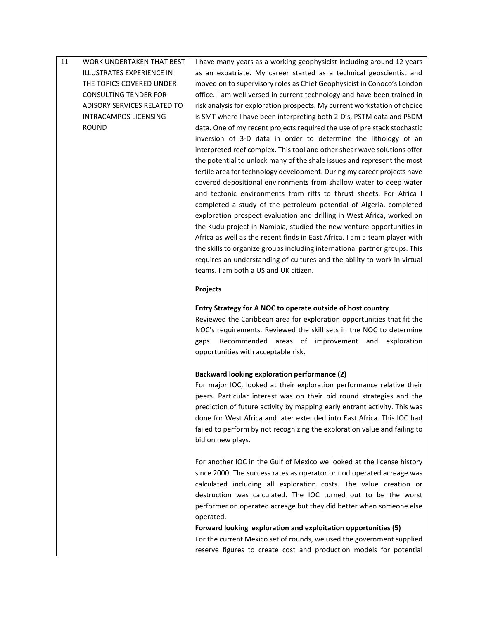# 11 WORK UNDERTAKEN THAT BEST ILLUSTRATES EXPERIENCE IN THE TOPICS COVERED UNDER CONSULTING TENDER FOR ADISORY SERVICES RELATED TO INTRACAMPOS LICENSING ROUND I have many years as a working geophysicist including around 12 years as an expatriate. My career started as a technical geoscientist and moved on to supervisory roles as Chief Geophysicist in Conoco's London

office. I am well versed in current technology and have been trained in risk analysis for exploration prospects. My current workstation of choice is SMT where I have been interpreting both 2-D's, PSTM data and PSDM data. One of my recent projects required the use of pre stack stochastic inversion of 3-D data in order to determine the lithology of an interpreted reef complex. This tool and other shear wave solutions offer the potential to unlock many of the shale issues and represent the most fertile area for technology development. During my career projects have covered depositional environments from shallow water to deep water and tectonic environments from rifts to thrust sheets. For Africa I completed a study of the petroleum potential of Algeria, completed exploration prospect evaluation and drilling in West Africa, worked on the Kudu project in Namibia, studied the new venture opportunities in Africa as well as the recent finds in East Africa. I am a team player with the skills to organize groups including international partner groups. This requires an understanding of cultures and the ability to work in virtual teams. I am both a US and UK citizen.

### **Projects**

### **Entry Strategy for A NOC to operate outside of host country**

Reviewed the Caribbean area for exploration opportunities that fit the NOC's requirements. Reviewed the skill sets in the NOC to determine gaps. Recommended areas of improvement and exploration opportunities with acceptable risk.

### **Backward looking exploration performance (2)**

For major IOC, looked at their exploration performance relative their peers. Particular interest was on their bid round strategies and the prediction of future activity by mapping early entrant activity. This was done for West Africa and later extended into East Africa. This IOC had failed to perform by not recognizing the exploration value and failing to bid on new plays.

For another IOC in the Gulf of Mexico we looked at the license history since 2000. The success rates as operator or nod operated acreage was calculated including all exploration costs. The value creation or destruction was calculated. The IOC turned out to be the worst performer on operated acreage but they did better when someone else operated.

**Forward looking exploration and exploitation opportunities (5)** For the current Mexico set of rounds, we used the government supplied reserve figures to create cost and production models for potential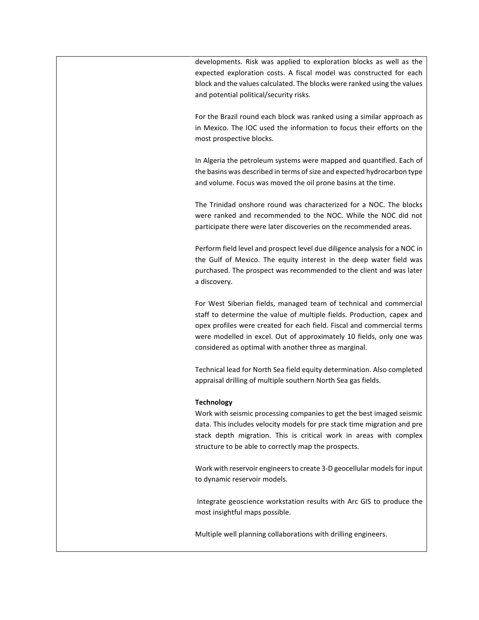developments. Risk was applied to exploration blocks as well as the expected exploration costs. A fiscal model was constructed for each block and the values calculated. The blocks were ranked using the values and potential political/security risks.

For the Brazil round each block was ranked using a similar approach as in Mexico. The IOC used the information to focus their efforts on the most prospective blocks.

In Algeria the petroleum systems were mapped and quantified. Each of the basins was described in terms of size and expected hydrocarbon type and volume. Focus was moved the oil prone basins at the time.

The Trinidad onshore round was characterized for a NOC. The blocks were ranked and recommended to the NOC. While the NOC did not participate there were later discoveries on the recommended areas.

Perform field level and prospect level due diligence analysis for a NOC in the Gulf of Mexico. The equity interest in the deep water field was purchased. The prospect was recommended to the client and was later a discovery.

For West Siberian fields, managed team of technical and commercial staff to determine the value of multiple fields. Production, capex and opex profiles were created for each field. Fiscal and commercial terms were modelled in excel. Out of approximately 10 fields, only one was considered as optimal with another three as marginal.

Technical lead for North Sea field equity determination. Also completed appraisal drilling of multiple southern North Sea gas fields.

## **Technology**

Work with seismic processing companies to get the best imaged seismic data. This includes velocity models for pre stack time migration and pre stack depth migration. This is critical work in areas with complex structure to be able to correctly map the prospects.

Work with reservoir engineers to create 3-D geocellular models for input to dynamic reservoir models.

Integrate geoscience workstation results with Arc GIS to produce the most insightful maps possible.

Multiple well planning collaborations with drilling engineers.